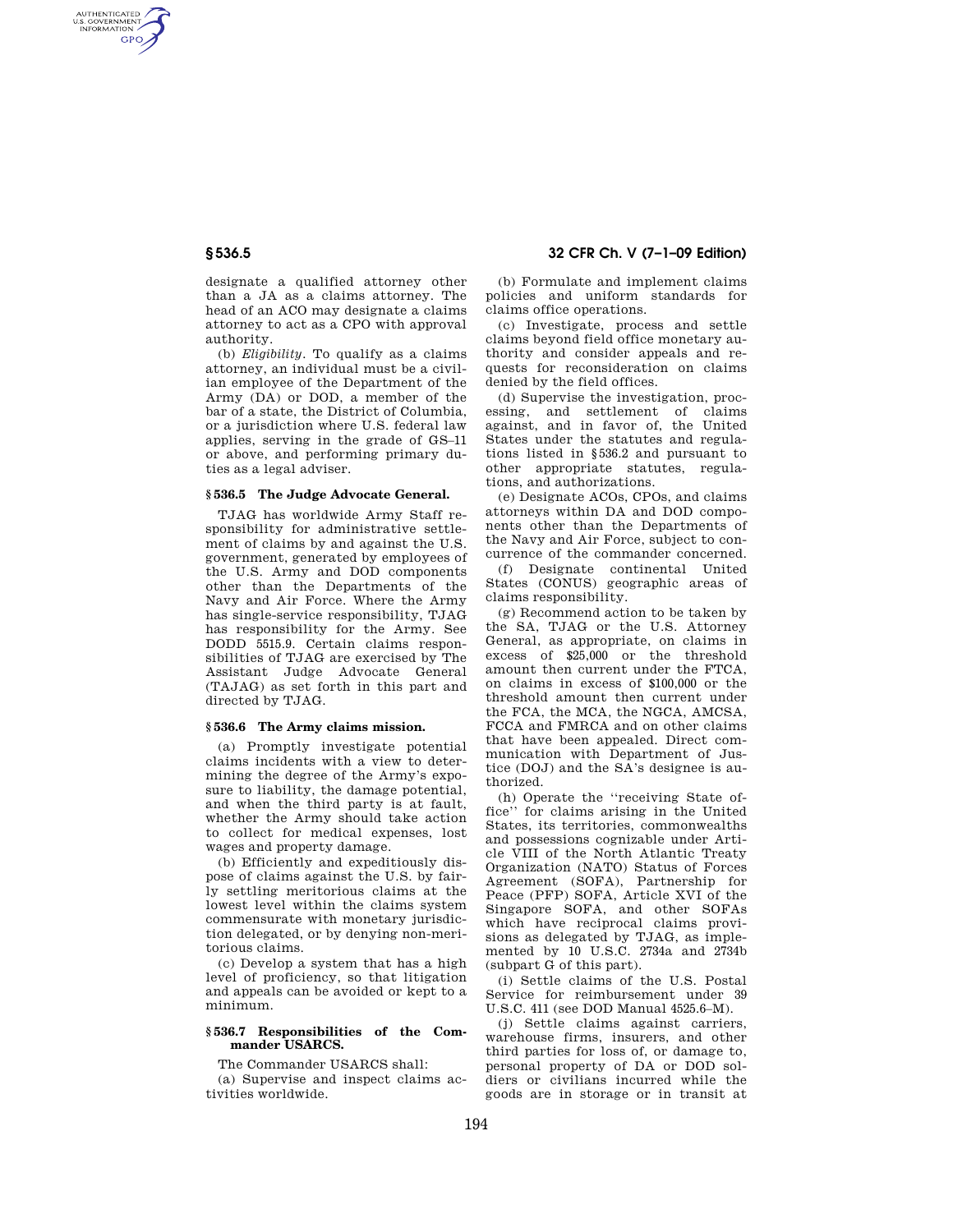AUTHENTICATED<br>U.S. GOVERNMENT<br>INFORMATION **GPO** 

> designate a qualified attorney other than a JA as a claims attorney. The head of an ACO may designate a claims attorney to act as a CPO with approval authority.

> (b) *Eligibility.* To qualify as a claims attorney, an individual must be a civilian employee of the Department of the Army (DA) or DOD, a member of the bar of a state, the District of Columbia, or a jurisdiction where U.S. federal law applies, serving in the grade of GS–11 or above, and performing primary duties as a legal adviser.

## **§ 536.5 The Judge Advocate General.**

TJAG has worldwide Army Staff responsibility for administrative settlement of claims by and against the U.S. government, generated by employees of the U.S. Army and DOD components other than the Departments of the Navy and Air Force. Where the Army has single-service responsibility, TJAG has responsibility for the Army. See DODD 5515.9. Certain claims responsibilities of TJAG are exercised by The Assistant Judge Advocate General (TAJAG) as set forth in this part and directed by TJAG.

## **§ 536.6 The Army claims mission.**

(a) Promptly investigate potential claims incidents with a view to determining the degree of the Army's exposure to liability, the damage potential, and when the third party is at fault, whether the Army should take action to collect for medical expenses, lost wages and property damage.

(b) Efficiently and expeditiously dispose of claims against the U.S. by fairly settling meritorious claims at the lowest level within the claims system commensurate with monetary jurisdiction delegated, or by denying non-meritorious claims.

(c) Develop a system that has a high level of proficiency, so that litigation and appeals can be avoided or kept to a minimum.

## **§ 536.7 Responsibilities of the Commander USARCS.**

The Commander USARCS shall:

(a) Supervise and inspect claims activities worldwide.

# **§ 536.5 32 CFR Ch. V (7–1–09 Edition)**

(b) Formulate and implement claims policies and uniform standards for claims office operations.

(c) Investigate, process and settle claims beyond field office monetary authority and consider appeals and requests for reconsideration on claims denied by the field offices.

(d) Supervise the investigation, processing, and settlement of claims against, and in favor of, the United States under the statutes and regulations listed in §536.2 and pursuant to other appropriate statutes, regulations, and authorizations.

(e) Designate ACOs, CPOs, and claims attorneys within DA and DOD components other than the Departments of the Navy and Air Force, subject to concurrence of the commander concerned.

(f) Designate continental United States (CONUS) geographic areas of claims responsibility.

(g) Recommend action to be taken by the SA, TJAG or the U.S. Attorney General, as appropriate, on claims in excess of \$25,000 or the threshold amount then current under the FTCA, on claims in excess of \$100,000 or the threshold amount then current under the FCA, the MCA, the NGCA, AMCSA, FCCA and FMRCA and on other claims that have been appealed. Direct communication with Department of Justice (DOJ) and the SA's designee is authorized.

(h) Operate the ''receiving State office'' for claims arising in the United States, its territories, commonwealths and possessions cognizable under Article VIII of the North Atlantic Treaty Organization (NATO) Status of Forces Agreement (SOFA), Partnership for Peace (PFP) SOFA, Article XVI of the Singapore SOFA, and other SOFAs which have reciprocal claims provisions as delegated by TJAG, as implemented by 10 U.S.C. 2734a and 2734b (subpart G of this part).

(i) Settle claims of the U.S. Postal Service for reimbursement under 39 U.S.C. 411 (see DOD Manual 4525.6–M).

(j) Settle claims against carriers, warehouse firms, insurers, and other third parties for loss of, or damage to, personal property of DA or DOD soldiers or civilians incurred while the goods are in storage or in transit at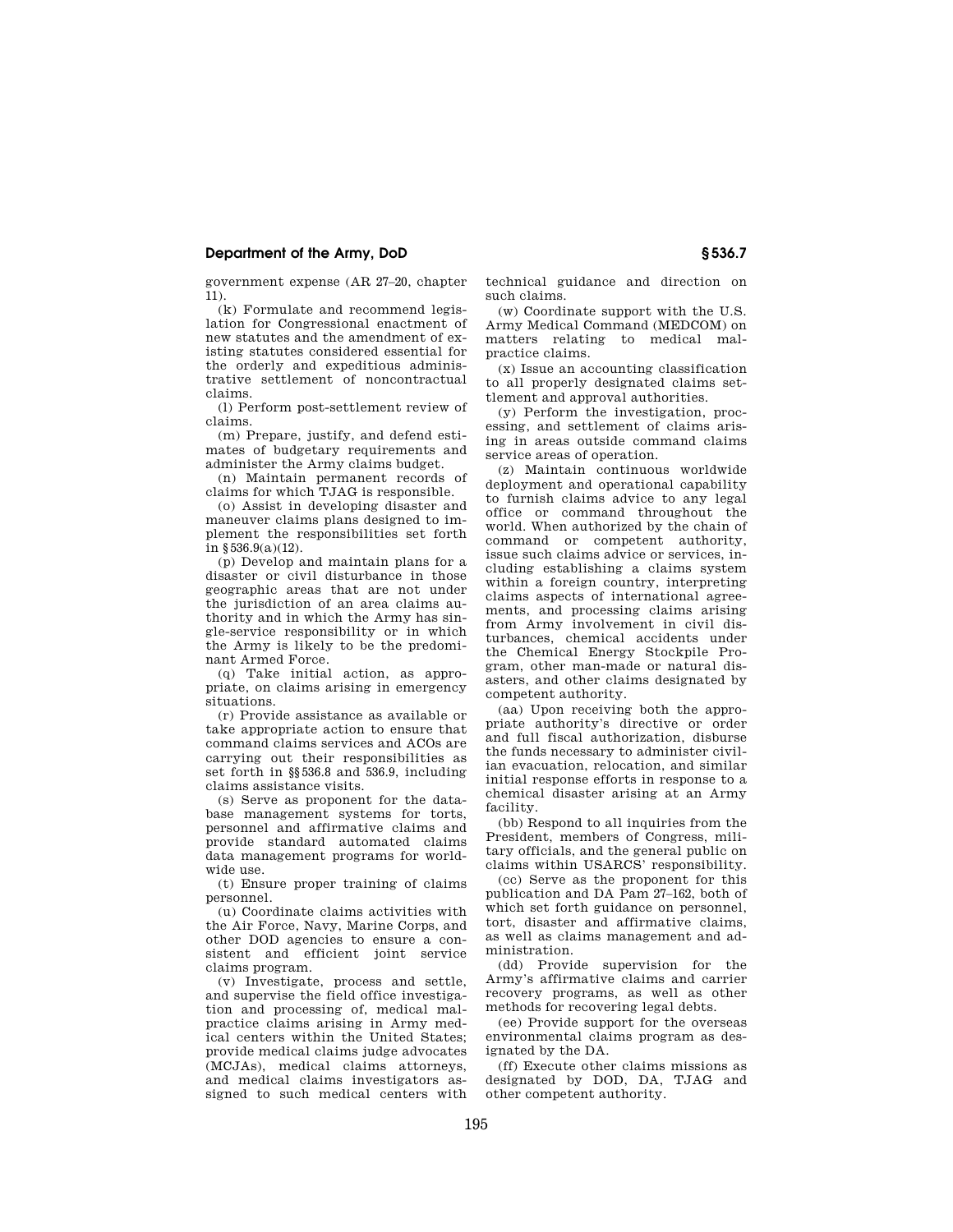## **Department of the Army, DoD § 536.7**

government expense (AR 27–20, chapter 11).

 $(k)$  Formulate and recommend legislation for Congressional enactment of new statutes and the amendment of existing statutes considered essential for the orderly and expeditious administrative settlement of noncontractual claims.

(l) Perform post-settlement review of claims.

(m) Prepare, justify, and defend estimates of budgetary requirements and administer the Army claims budget.

(n) Maintain permanent records of claims for which TJAG is responsible.

(o) Assist in developing disaster and maneuver claims plans designed to implement the responsibilities set forth in  $$536.9(a)(12)$ .

(p) Develop and maintain plans for a disaster or civil disturbance in those geographic areas that are not under the jurisdiction of an area claims authority and in which the Army has single-service responsibility or in which the Army is likely to be the predominant Armed Force.

(q) Take initial action, as appropriate, on claims arising in emergency situations.

(r) Provide assistance as available or take appropriate action to ensure that command claims services and ACOs are carrying out their responsibilities as set forth in §§536.8 and 536.9, including claims assistance visits.

(s) Serve as proponent for the database management systems for torts, personnel and affirmative claims and provide standard automated claims data management programs for worldwide use.

(t) Ensure proper training of claims personnel.

(u) Coordinate claims activities with the Air Force, Navy, Marine Corps, and other DOD agencies to ensure a consistent and efficient joint service claims program.

(v) Investigate, process and settle, and supervise the field office investigation and processing of, medical malpractice claims arising in Army medical centers within the United States; provide medical claims judge advocates (MCJAs), medical claims attorneys, and medical claims investigators assigned to such medical centers with technical guidance and direction on such claims.

(w) Coordinate support with the U.S. Army Medical Command (MEDCOM) on matters relating to medical malpractice claims.

(x) Issue an accounting classification to all properly designated claims settlement and approval authorities.

(y) Perform the investigation, processing, and settlement of claims arising in areas outside command claims service areas of operation.

(z) Maintain continuous worldwide deployment and operational capability to furnish claims advice to any legal office or command throughout the world. When authorized by the chain of command or competent authority, issue such claims advice or services, including establishing a claims system within a foreign country, interpreting claims aspects of international agreements, and processing claims arising from Army involvement in civil disturbances, chemical accidents under the Chemical Energy Stockpile Program, other man-made or natural disasters, and other claims designated by competent authority.

(aa) Upon receiving both the appropriate authority's directive or order and full fiscal authorization, disburse the funds necessary to administer civilian evacuation, relocation, and similar initial response efforts in response to a chemical disaster arising at an Army facility.

(bb) Respond to all inquiries from the President, members of Congress, military officials, and the general public on claims within USARCS' responsibility.

(cc) Serve as the proponent for this publication and DA Pam 27–162, both of which set forth guidance on personnel, tort, disaster and affirmative claims, as well as claims management and administration.

(dd) Provide supervision for the Army's affirmative claims and carrier recovery programs, as well as other methods for recovering legal debts.

(ee) Provide support for the overseas environmental claims program as designated by the DA.

(ff) Execute other claims missions as designated by DOD, DA, TJAG and other competent authority.